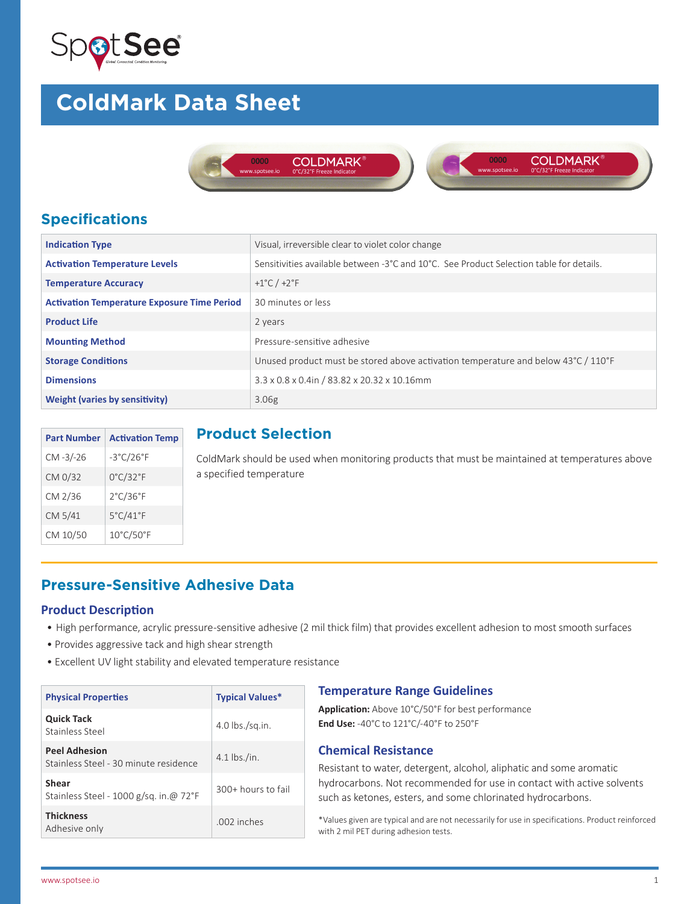

# **ColdMark Data Sheet**





## **Specifications**

| <b>Indication Type</b>                             | Visual, irreversible clear to violet color change                                       |
|----------------------------------------------------|-----------------------------------------------------------------------------------------|
| <b>Activation Temperature Levels</b>               | Sensitivities available between -3°C and 10°C. See Product Selection table for details. |
| <b>Temperature Accuracy</b>                        | +1 $^{\circ}$ C / +2 $^{\circ}$ F                                                       |
| <b>Activation Temperature Exposure Time Period</b> | 30 minutes or less                                                                      |
| <b>Product Life</b>                                | 2 years                                                                                 |
| <b>Mounting Method</b>                             | Pressure-sensitive adhesive                                                             |
| <b>Storage Conditions</b>                          | Unused product must be stored above activation temperature and below 43°C / 110°F       |
| <b>Dimensions</b>                                  | 3.3 x 0.8 x 0.4in / 83.82 x 20.32 x 10.16mm                                             |
| <b>Weight (varies by sensitivity)</b>              | 3.06 <sub>g</sub>                                                                       |

| <b>Part Number</b> | <b>Activation Temp</b>         |
|--------------------|--------------------------------|
| $CM - 3/-26$       | $-3^{\circ}$ C/26 $^{\circ}$ F |
| CM 0/32            | $0^{\circ}$ C/32 $^{\circ}$ F  |
| CM 2/36            | $2^{\circ}$ C/36 $^{\circ}$ F  |
| CM 5/41            | 5°C/41°F                       |
| CM 10/50           | 10°C/50°F                      |

### **Product Selection**

ColdMark should be used when monitoring products that must be maintained at temperatures above a specified temperature

## **Pressure-Sensitive Adhesive Data**

#### **Product Description**

- High performance, acrylic pressure-sensitive adhesive (2 mil thick film) that provides excellent adhesion to most smooth surfaces
- Provides aggressive tack and high shear strength
- Excellent UV light stability and elevated temperature resistance

| <b>Physical Properties</b>                                    | <b>Typical Values*</b> |
|---------------------------------------------------------------|------------------------|
| <b>Quick Tack</b><br>Stainless Steel                          | $4.0$ lbs./sq.in.      |
| <b>Peel Adhesion</b><br>Stainless Steel - 30 minute residence | $4.1$ lbs./in.         |
| Shear<br>Stainless Steel - 1000 g/sq. in.@ 72°F               | 300+ hours to fail     |
| <b>Thickness</b><br>Adhesive only                             | .002 inches            |

#### **Temperature Range Guidelines**

**Application:** Above 10°C/50°F for best performance **End Use:** -40°C to 121°C/-40°F to 250°F

#### **Chemical Resistance**

Resistant to water, detergent, alcohol, aliphatic and some aromatic hydrocarbons. Not recommended for use in contact with active solvents such as ketones, esters, and some chlorinated hydrocarbons.

\*Values given are typical and are not necessarily for use in specifications. Product reinforced with 2 mil PET during adhesion tests.